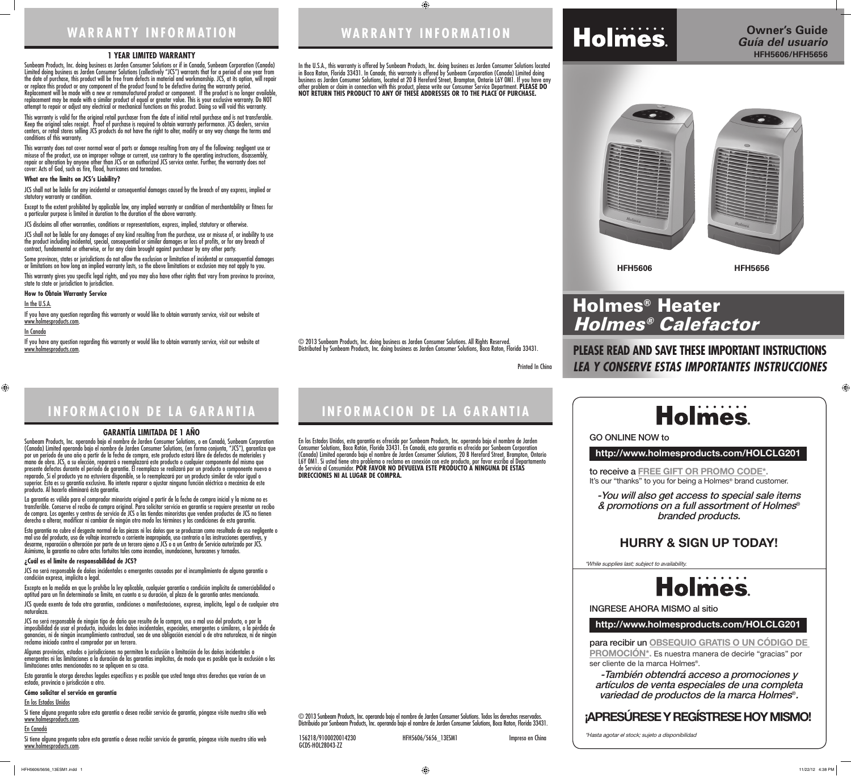**WARRANTY INFORMATION**

 $\bigoplus$ 



Printed In China

© 2013 Sunbeam Products, Inc. doing business as Jarden Consumer Solutions. All Rights Reserved. Distributed by Sunbeam Products, Inc. doing business as Jarden Consumer Solutions, Boca Raton, Florida 33431.

**INFORMACION DE LA GARANTIA**

#### **1 YEAR LIMITED WARRANTY**

Sunbeam Products, Inc. doing business as Jarden Consumer Solutions or if in Canada, Sunbeam Corporation (Canada) Limited doing business as Jarden Consumer Solutions (collectively "JCS") warrants that for a period of one year from the date of purchase, this product will be free from defects in material and workmanship. JCS, at its option, will repair or replace this product or any component of the product found to be defective during the warranty period. Replacement will be made with a new or remanufactured product or component. If the product is no longer available, replacement may be made with a similar product of equal or greater value. This is your exclusive warranty. Do NOT attempt to repair or adjust any electrical or mechanical functions on this product. Doing so will void this warranty.

This warranty is valid for the original retail purchaser from the date of initial retail purchase and is not transferable. Keep the original sales receipt. Proof of purchase is required to obtain warranty performance. JCS dealers, service centers, or retail stores selling JCS products do not have the right to alter, modify or any way change the terms and conditions of this warranty.

Some provinces, states or jurisdictions do not allow the exclusion or limitation of incidental or consequential damages or limitations on how long an implied warranty lasts, so the above limitations or exclusion may not apply to you.

If you have any question regarding this warranty or would like to obtain warranty service, visit our website at www.holmesproducts.com.

This warranty does not cover normal wear of parts or damage resulting from any of the following: negligent use or misuse of the product, use on improper voltage or current, use contrary to the operating instructions, disassembly, repair or alteration by anyone other than JCS or an authorized JCS service center. Further, the warranty does not cover: Acts of God, such as fire, flood, hurricanes and tornadoes.

#### **What are the limits on JCS's Liability?**

JCS shall not be liable for any incidental or consequential damages caused by the breach of any express, implied or statutory warranty or condition.

Except to the extent prohibited by applicable law, any implied warranty or condition of merchantability or fitness for a particular purpose is limited in duration to the duration of the above warranty.

JCS disclaims all other warranties, conditions or representations, express, implied, statutory or otherwise.

JCS shall not be liable for any damages of any kind resulting from the purchase, use or misuse of, or inability to use the product including incidental, special, consequential or similar damages or loss of profits, or for any breach of contract, fundamental or otherwise, or for any claim brought against purchaser by any other party.

This warranty gives you specific legal rights, and you may also have other rights that vary from province to province, state to state or jurisdiction to jurisdiction.

**How to Obtain Warranty Service**

#### In the U.S.A.

#### In Canada

 $\bigoplus$ 

If you have any question regarding this warranty or would like to obtain warranty service, visit our website at www.holmesproducts.com.

#### **GARANTÍA LIMITADA DE 1 AÑO**

Sunbeam Products, Inc. operando bajo el nombre de Jarden Consumer Solutions, o en Canadá, Sunbeam Corporation (Canada) Limited operando bajo el nombre de Jarden Consumer Solutions, (en forma conjunta, "JCS"), garantiza que por un período de uno año a partir de la fecha de compra, este producto estará libre de defectos de materiales y mano de obra. JCS, a su elección, reparará o reemplazará este producto o cualquier componente del mismo que presente defectos durante el período de garantía. El reemplazo se realizará por un producto o componente nuevo o reparado. Si el producto ya no estuviera disponible, se lo reemplazará por un producto similar de valor igual o superior. Ésta es su garantía exclusiva. No intente reparar o ajustar ninguna función eléctrica o mecánica de este producto. Al hacerlo elimínará ésta garantía.

to receive a **FREE GIFT OR PROMO CODE\*.** It's our "thanks" to you for being a Holmes<sup>®</sup> brand customer.

para recibir un **OBSEQUIO GRATIS O UN CÓDIGO DE PROMOCIÓN\*.** Es nuestra manera de decirle "gracias" por ser cliente de la marca Holmes®.

La garantía es válida para el comprador minorista original a partir de la fecha de compra inicial y la misma no es transferible. Conserve el recibo de compra original. Para solicitar servicio en garantía se requiere presentar un recibo de compra. Los agentes y centros de servicio de JCS o las tiendas minoristas que venden productos de JCS no tienen derecho a alterar, modificar ni cambiar de ningún otro modo los términos y las condiciones de esta garantía.

Esta garantía no cubre el desgaste normal de las piezas ni los daños que se produzcan como resultado de uso negligente o mal uso del producto, uso de voltaje incorrecto o corriente inapropiada, uso contrario a las instrucciones operativas, y desarme, reparación o alteración por parte de un tercero ajeno a JCS o a un Centro de Servicio autorizado por JCS. Asimismo, la garantía no cubre actos fortuitos tales como incendios, inundaciones, huracanes y tornados.

#### **¿Cuál es el límite de responsabilidad de JCS?**

JCS no será responsable de daños incidentales o emergentes causados por el incumplimiento de alguna garantía o condición expresa, implícita o legal.

Excepto en la medida en que lo prohíba la ley aplicable, cualquier garantía o condición implícita de comerciabilidad o aptitud para un fin determinado se limita, en cuanto a su duración, al plazo de la garantía antes mencionada.

JCS queda exenta de toda otra garantías, condiciones o manifestaciones, expresa, implícita, legal o de cualquier otra naturaleza.

JCS no será responsable de ningún tipo de daño que resulte de la compra, uso o mal uso del producto, o por la imposibilidad de usar el producto, incluidos los daños incidentales, especiales, emergentes o similares, o la pérdida de ganancias, ni de ningún incumplimiento contractual, sea de una obligación esencial o de otra naturaleza, ni de ningún reclamo iniciado contra el comprador por un tercero.

Algunas provincias, estados o jurisdicciones no permiten la exclusión o limitación de los daños incidentales o emergentes ni las limitaciones a la duración de las garantías implícitas, de modo que es posible que la exclusión o las limitaciones antes mencionadas no se apliquen en su caso.

Esta garantía le otorga derechos legales específicos y es posible que usted tenga otros derechos que varían de un estado, provincia o jurisdicción a otro.

#### **Cómo solicitar el servicio en garantía**

#### En los Estados Unidos

Si tiene alguna pregunta sobre esta garantía o desea recibir servicio de garantía, póngase visite nuestro sitio web www.holmesproducts.com.

#### En Canadá

Si tiene alguna pregunta sobre esta garantía o desea recibir servicio de garantía, póngase visite nuestro sitio web www.holmesproducts.com.

## **WARRANTY INFORMATION**

# **INFORMACION DE LA GARANTIA**

In the U.S.A., this warranty is offered by Sunbeam Products, Inc. doing business as Jarden Consumer Solutions located in Boca Raton, Florida 33431. In Canada, this warranty is offered by Sunbeam Corporation (Canada) Limited doing business as Jarden Consumer Solutions, located at 20 B Hereford Street, Brampton, Ontario L6Y 0M1. If you have any other problem or claim in connection with this product, please write our Consumer Service Department. **PLEASE DO NOT RETURN THIS PRODUCT TO ANY OF THESE ADDRESSES OR TO THE PLACE OF PURCHASE.** 

En los Estados Unidos, esta garantía es ofrecida por Sunbeam Products, Inc. operando bajo el nombre de Jarden Consumer Solutions, Boca Ratón, Florida 33431. En Canadá, esta garantía es ofrecida por Sunbeam Corporation (Canada) Limited operando bajo el nombre de Jarden Consumer Solutions, 20 B Hereford Street, Brampton, Ontario L6Y 0M1. Si usted tiene otro problema o reclamo en conexión con este producto, por favor escriba al Departamento de Servicio al Consumidor. **POR FAVOR NO DEVUELVA ESTE PRODUCTO A NINGUNA DE ESTAS DIRECCIONES NI AL LUGAR DE COMPRA.**

© 2013 Sunbeam Products, Inc. operando bajo el nombre de Jarden Consumer Solutions. Todos los derechos reservados. Distribuido por Sunbeam Products, Inc. operando bajo el nombre de Jarden Consumer Solutions, Boca Raton, Florida 33431.

156218/9100020014230 HFH5606/5656\_13ESM1 Impreso en China

GCDS-HOL28043-ZZ

## **PLEASE READ AND SAVE THESE IMPORTANT INSTRUCTIONS** *LEA Y CONSERVE ESTAS IMPORTANTES INSTRUCCIONES*



## **http://www.holmesproducts.com/HOLCLG201**

**http://www.holmesproducts.com/HOLCLG201**

GO ONLINE NOW to

INGRESE AHORA MISMO al sitio

-You will also get access to special sale items & promotions on a full assortment of Holmes® branded products.

# **Holmes**

-También obtendrá acceso a promociones y artículos de venta especiales de una completa variedad de productos de la marca Holmes®.

\*While supplies last; subject to availability.



\*Hasta agotar el stock; sujeto a disponibilidad

 $\bigoplus$ 

## **HURRY & SIGN UP TODAY!**

## **¡APRESÚRESE Y REGÍSTRESE HOY MISMO!**

**HFH5606 HFH5656**

# Holmes® Heater Holmes® Calefactor

HFH5606/5656\_13ESM1.indd 1 11/22/12 4:38 PM

**Holmes**